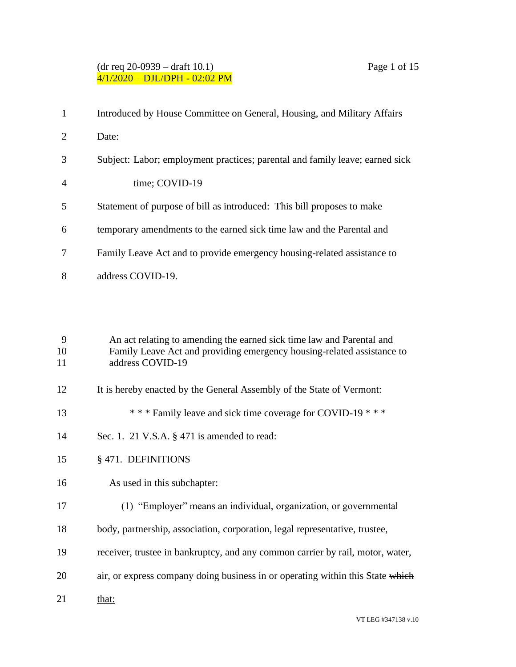### (dr req 20-0939 – draft 10.1) Page 1 of 15 4/1/2020 – DJL/DPH - 02:02 PM

| 1                           | Introduced by House Committee on General, Housing, and Military Affairs      |
|-----------------------------|------------------------------------------------------------------------------|
| $\mathcal{D}_{\mathcal{L}}$ | Date:                                                                        |
| 3                           | Subject: Labor; employment practices; parental and family leave; earned sick |
| $\overline{4}$              | time: COVID-19                                                               |
| 5                           | Statement of purpose of bill as introduced: This bill proposes to make       |
| 6                           | temporary amendments to the earned sick time law and the Parental and        |
| 7                           | Family Leave Act and to provide emergency housing-related assistance to      |
| 8                           | address COVID-19.                                                            |

 An act relating to amending the earned sick time law and Parental and Family Leave Act and providing emergency housing-related assistance to address COVID-19

- 12 It is hereby enacted by the General Assembly of the State of Vermont:
- \* \* \* Family leave and sick time coverage for COVID-19 \* \* \*
- Sec. 1. 21 V.S.A. § 471 is amended to read:
- § 471. DEFINITIONS
- As used in this subchapter:
- (1) "Employer" means an individual, organization, or governmental
- body, partnership, association, corporation, legal representative, trustee,
- receiver, trustee in bankruptcy, and any common carrier by rail, motor, water,
- 20 air, or express company doing business in or operating within this State which
- 21 that: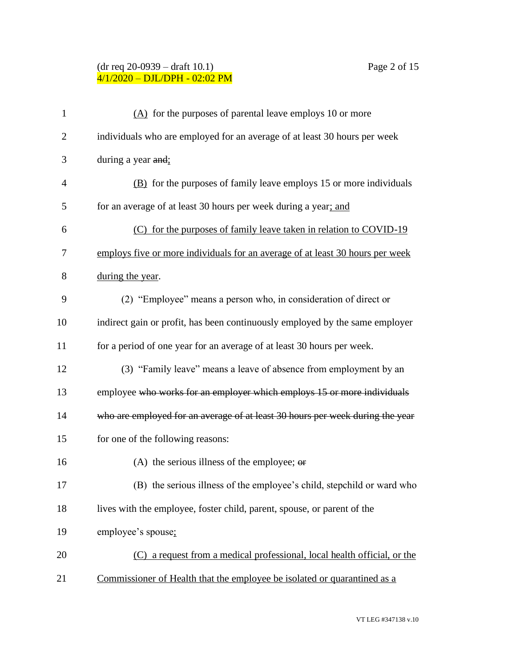### (dr req 20-0939 – draft 10.1) Page 2 of 15 4/1/2020 – DJL/DPH - 02:02 PM

| $\mathbf{1}$   | $(A)$ for the purposes of parental leave employs 10 or more                   |
|----------------|-------------------------------------------------------------------------------|
| $\overline{2}$ | individuals who are employed for an average of at least 30 hours per week     |
| 3              | during a year and:                                                            |
| 4              | (B) for the purposes of family leave employs 15 or more individuals           |
| 5              | for an average of at least 30 hours per week during a year; and               |
| 6              | (C) for the purposes of family leave taken in relation to COVID-19            |
| 7              | employs five or more individuals for an average of at least 30 hours per week |
| 8              | during the year.                                                              |
| 9              | (2) "Employee" means a person who, in consideration of direct or              |
| 10             | indirect gain or profit, has been continuously employed by the same employer  |
| 11             | for a period of one year for an average of at least 30 hours per week.        |
| 12             | (3) "Family leave" means a leave of absence from employment by an             |
| 13             | employee who works for an employer which employs 15 or more individuals       |
| 14             | who are employed for an average of at least 30 hours per week during the year |
| 15             | for one of the following reasons:                                             |
| 16             | (A) the serious illness of the employee; $\theta$                             |
| 17             | (B) the serious illness of the employee's child, stepchild or ward who        |
| 18             | lives with the employee, foster child, parent, spouse, or parent of the       |
| 19             | employee's spouse;                                                            |
| 20             | (C) a request from a medical professional, local health official, or the      |

21 Commissioner of Health that the employee be isolated or quarantined as a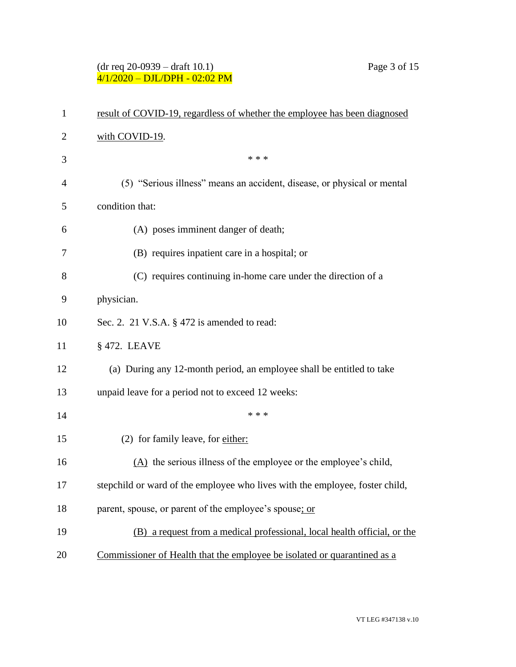## (dr req 20-0939 – draft 10.1) Page 3 of 15 4/1/2020 – DJL/DPH - 02:02 PM

| $\mathbf{1}$   | result of COVID-19, regardless of whether the employee has been diagnosed    |
|----------------|------------------------------------------------------------------------------|
| $\overline{2}$ | with COVID-19.                                                               |
| 3              | * * *                                                                        |
| $\overline{4}$ | (5) "Serious illness" means an accident, disease, or physical or mental      |
| 5              | condition that:                                                              |
| 6              | (A) poses imminent danger of death;                                          |
| 7              | (B) requires inpatient care in a hospital; or                                |
| 8              | (C) requires continuing in-home care under the direction of a                |
| 9              | physician.                                                                   |
| 10             | Sec. 2. 21 V.S.A. § 472 is amended to read:                                  |
| 11             | § 472. LEAVE                                                                 |
| 12             | (a) During any 12-month period, an employee shall be entitled to take        |
| 13             | unpaid leave for a period not to exceed 12 weeks:                            |
| 14             | * * *                                                                        |
| 15             | (2) for family leave, for either:                                            |
| 16             | $(A)$ the serious illness of the employee or the employee's child,           |
| 17             | stepchild or ward of the employee who lives with the employee, foster child, |
| 18             | parent, spouse, or parent of the employee's spouse; or                       |
| 19             | (B) a request from a medical professional, local health official, or the     |
| 20             | Commissioner of Health that the employee be isolated or quarantined as a     |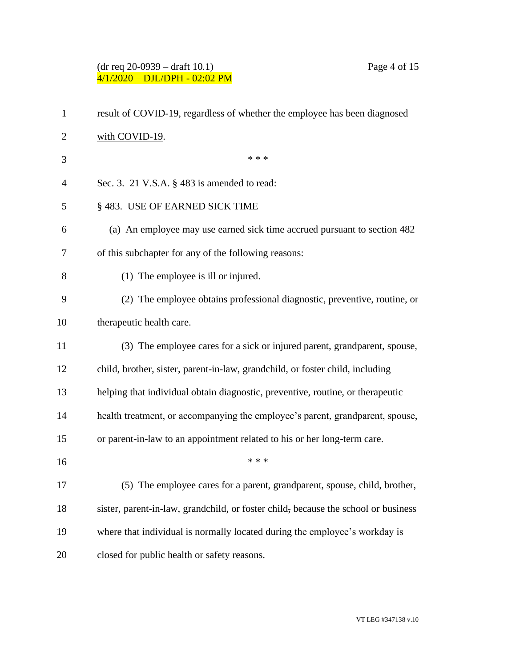## (dr req 20-0939 – draft 10.1) Page 4 of 15 4/1/2020 – DJL/DPH - 02:02 PM

| $\mathbf{1}$   | result of COVID-19, regardless of whether the employee has been diagnosed          |
|----------------|------------------------------------------------------------------------------------|
| $\overline{2}$ | with COVID-19.                                                                     |
| 3              | * * *                                                                              |
| $\overline{4}$ | Sec. 3. 21 V.S.A. § 483 is amended to read:                                        |
| 5              | §483. USE OF EARNED SICK TIME                                                      |
| 6              | (a) An employee may use earned sick time accrued pursuant to section 482           |
| 7              | of this subchapter for any of the following reasons:                               |
| 8              | (1) The employee is ill or injured.                                                |
| 9              | (2) The employee obtains professional diagnostic, preventive, routine, or          |
| 10             | therapeutic health care.                                                           |
| 11             | (3) The employee cares for a sick or injured parent, grandparent, spouse,          |
| 12             | child, brother, sister, parent-in-law, grandchild, or foster child, including      |
| 13             | helping that individual obtain diagnostic, preventive, routine, or therapeutic     |
| 14             | health treatment, or accompanying the employee's parent, grandparent, spouse,      |
| 15             | or parent-in-law to an appointment related to his or her long-term care.           |
| 16             | * * *                                                                              |
| 17             | (5) The employee cares for a parent, grandparent, spouse, child, brother,          |
| 18             | sister, parent-in-law, grandchild, or foster child, because the school or business |
| 19             | where that individual is normally located during the employee's workday is         |
| 20             | closed for public health or safety reasons.                                        |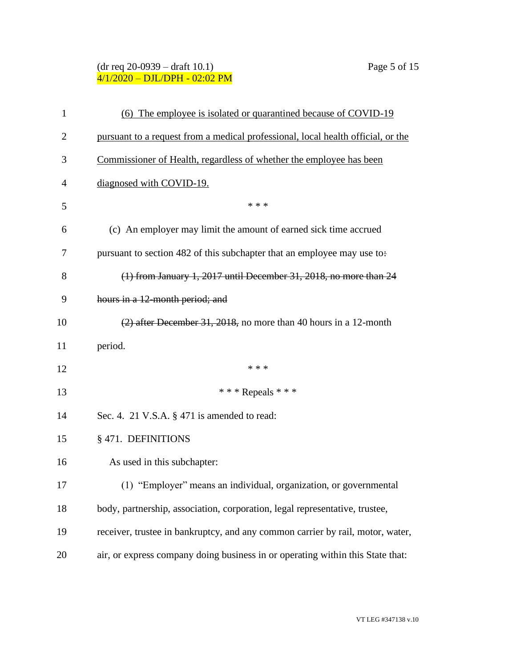### (dr req 20-0939 – draft 10.1) Page 5 of 15 4/1/2020 – DJL/DPH - 02:02 PM

| $\mathbf{1}$ | (6) The employee is isolated or quarantined because of COVID-19                  |
|--------------|----------------------------------------------------------------------------------|
| 2            | pursuant to a request from a medical professional, local health official, or the |
| 3            | Commissioner of Health, regardless of whether the employee has been              |
| 4            | diagnosed with COVID-19.                                                         |
| 5            | * * *                                                                            |
| 6            | (c) An employer may limit the amount of earned sick time accrued                 |
| 7            | pursuant to section 482 of this subchapter that an employee may use to:          |
| 8            | $(1)$ from January 1, 2017 until December 31, 2018, no more than 24              |
| 9            | hours in a 12-month period; and                                                  |
| 10           | (2) after December 31, 2018, no more than 40 hours in a 12-month                 |
| 11           | period.                                                                          |
| 12           | * * *                                                                            |
| 13           | *** Repeals ***                                                                  |
| 14           | Sec. 4. 21 V.S.A. $\S$ 471 is amended to read:                                   |
| 15           | § 471. DEFINITIONS                                                               |
| 16           | As used in this subchapter:                                                      |
| 17           | (1) "Employer" means an individual, organization, or governmental                |
| 18           | body, partnership, association, corporation, legal representative, trustee,      |
| 19           | receiver, trustee in bankruptcy, and any common carrier by rail, motor, water,   |
| 20           | air, or express company doing business in or operating within this State that:   |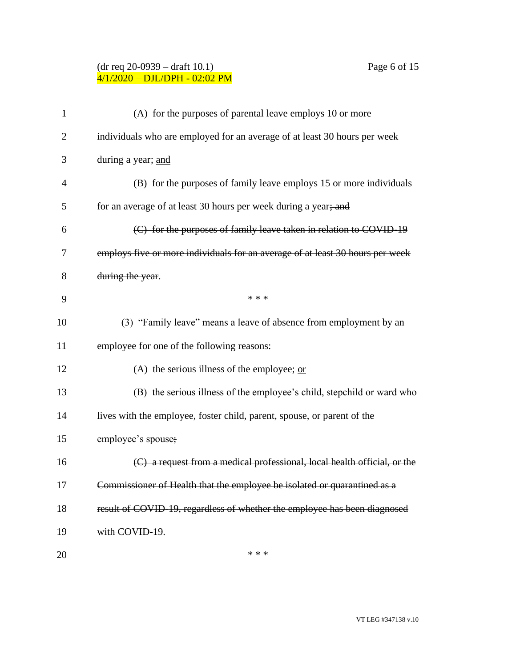#### (dr req 20-0939 – draft 10.1) Page 6 of 15 4/1/2020 – DJL/DPH - 02:02 PM

| $\mathbf{1}$   | (A) for the purposes of parental leave employs 10 or more                     |
|----------------|-------------------------------------------------------------------------------|
| $\overline{c}$ | individuals who are employed for an average of at least 30 hours per week     |
| 3              | during a year; and                                                            |
| 4              | (B) for the purposes of family leave employs 15 or more individuals           |
| 5              | for an average of at least 30 hours per week during a year; and               |
| 6              | (C) for the purposes of family leave taken in relation to COVID-19            |
| 7              | employs five or more individuals for an average of at least 30 hours per week |
| 8              | during the year.                                                              |
| 9              | * * *                                                                         |
| 10             | (3) "Family leave" means a leave of absence from employment by an             |
| 11             | employee for one of the following reasons:                                    |
| 12             | (A) the serious illness of the employee; $or$                                 |
| 13             | (B) the serious illness of the employee's child, stepchild or ward who        |
| 14             | lives with the employee, foster child, parent, spouse, or parent of the       |
| 15             | employee's spouse;                                                            |
| 16             | (C) a request from a medical professional, local health official, or the      |
| 17             | Commissioner of Health that the employee be isolated or quarantined as a      |
| 18             | result of COVID-19, regardless of whether the employee has been diagnosed     |
| 19             | with COVID-19.                                                                |
| 20             | * * *                                                                         |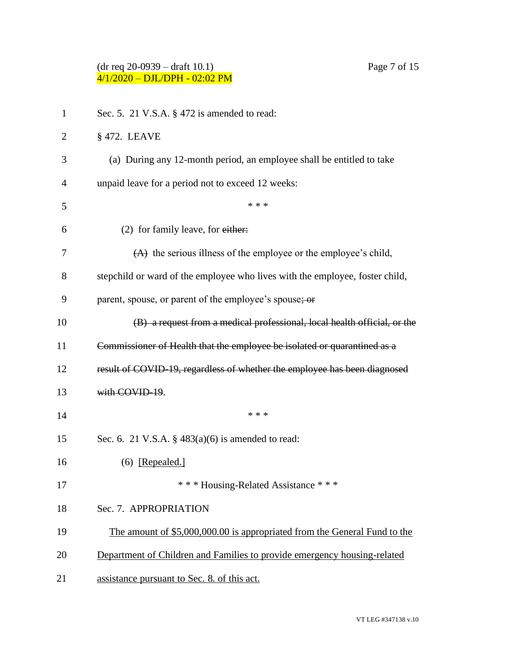# (dr req 20-0939 – draft 10.1) Page 7 of 15 4/1/2020 – DJL/DPH - 02:02 PM

| $\mathbf{1}$ | Sec. 5. 21 V.S.A. § 472 is amended to read:                                  |
|--------------|------------------------------------------------------------------------------|
| 2            | § 472. LEAVE                                                                 |
| 3            | (a) During any 12-month period, an employee shall be entitled to take        |
| 4            | unpaid leave for a period not to exceed 12 weeks:                            |
| 5            | * * *                                                                        |
| 6            | $(2)$ for family leave, for either:                                          |
| 7            | $(A)$ the serious illness of the employee or the employee's child,           |
| 8            | stepchild or ward of the employee who lives with the employee, foster child, |
| 9            | parent, spouse, or parent of the employee's spouse; or                       |
| 10           | (B) a request from a medical professional, local health official, or the     |
| 11           | Commissioner of Health that the employee be isolated or quarantined as a     |
| 12           | result of COVID-19, regardless of whether the employee has been diagnosed    |
| 13           | with COVID-19.                                                               |
| 14           | * * *                                                                        |
| 15           | Sec. 6. 21 V.S.A. $\S$ 483(a)(6) is amended to read:                         |
| 16           | $(6)$ [Repealed.]                                                            |
| 17           | * * * Housing-Related Assistance * * *                                       |
| 18           | Sec. 7. APPROPRIATION                                                        |
| 19           | The amount of \$5,000,000.00 is appropriated from the General Fund to the    |
| 20           | Department of Children and Families to provide emergency housing-related     |
| 21           | assistance pursuant to Sec. 8. of this act.                                  |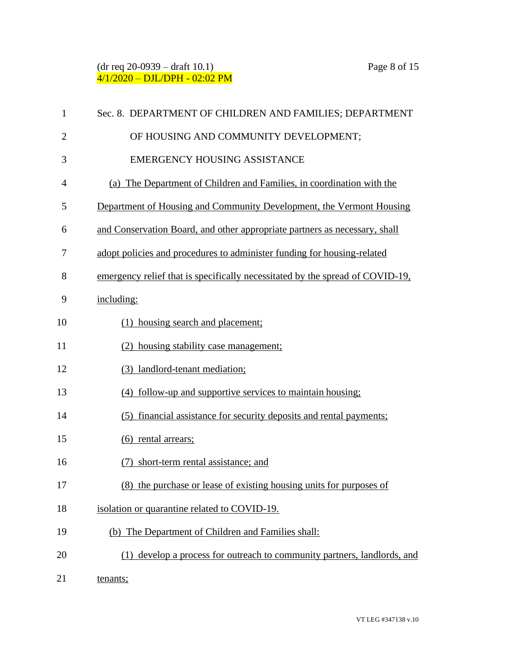# (dr req 20-0939 – draft 10.1) Page 8 of 15 4/1/2020 – DJL/DPH - 02:02 PM

| $\mathbf{1}$   | Sec. 8. DEPARTMENT OF CHILDREN AND FAMILIES; DEPARTMENT                       |
|----------------|-------------------------------------------------------------------------------|
| $\overline{2}$ | OF HOUSING AND COMMUNITY DEVELOPMENT;                                         |
| 3              | <b>EMERGENCY HOUSING ASSISTANCE</b>                                           |
| $\overline{4}$ | (a) The Department of Children and Families, in coordination with the         |
| 5              | Department of Housing and Community Development, the Vermont Housing          |
| 6              | and Conservation Board, and other appropriate partners as necessary, shall    |
| 7              | adopt policies and procedures to administer funding for housing-related       |
| 8              | emergency relief that is specifically necessitated by the spread of COVID-19, |
| 9              | including:                                                                    |
| 10             | (1) housing search and placement;                                             |
| 11             | (2) housing stability case management;                                        |
| 12             | (3) landlord-tenant mediation;                                                |
| 13             | (4) follow-up and supportive services to maintain housing;                    |
| 14             | (5) financial assistance for security deposits and rental payments;           |
| 15             | $(6)$ rental arrears;                                                         |
| 16             | (7) short-term rental assistance; and                                         |
| 17             | (8) the purchase or lease of existing housing units for purposes of           |
| 18             | isolation or quarantine related to COVID-19.                                  |
| 19             | (b) The Department of Children and Families shall:                            |
| 20             | (1) develop a process for outreach to community partners, landlords, and      |
| 21             | tenants;                                                                      |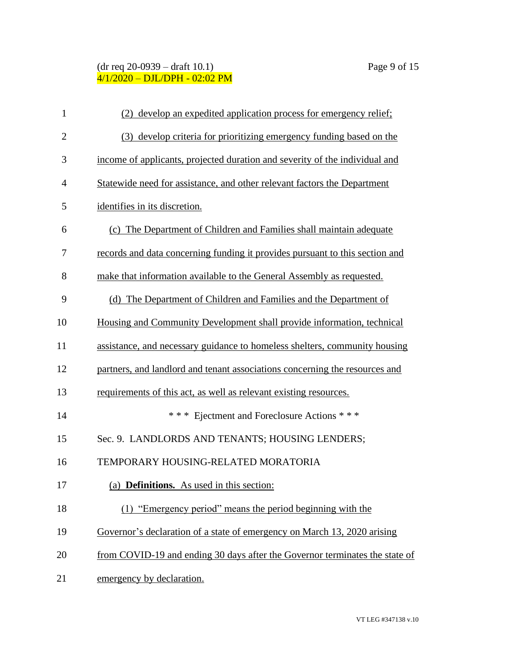## (dr req 20-0939 – draft 10.1) Page 9 of 15 4/1/2020 – DJL/DPH - 02:02 PM

| $\mathbf{1}$   | (2) develop an expedited application process for emergency relief;           |
|----------------|------------------------------------------------------------------------------|
| $\overline{2}$ | (3) develop criteria for prioritizing emergency funding based on the         |
| 3              | income of applicants, projected duration and severity of the individual and  |
| $\overline{4}$ | Statewide need for assistance, and other relevant factors the Department     |
| 5              | identifies in its discretion.                                                |
| 6              | (c) The Department of Children and Families shall maintain adequate          |
| 7              | records and data concerning funding it provides pursuant to this section and |
| 8              | make that information available to the General Assembly as requested.        |
| 9              | (d) The Department of Children and Families and the Department of            |
| 10             | Housing and Community Development shall provide information, technical       |
| 11             | assistance, and necessary guidance to homeless shelters, community housing   |
| 12             | partners, and landlord and tenant associations concerning the resources and  |
| 13             | requirements of this act, as well as relevant existing resources.            |
| 14             | *** Ejectment and Foreclosure Actions ***                                    |
| 15             | Sec. 9. LANDLORDS AND TENANTS; HOUSING LENDERS;                              |
| 16             | TEMPORARY HOUSING-RELATED MORATORIA                                          |
| 17             | (a) <b>Definitions.</b> As used in this section:                             |
| 18             | (1) "Emergency period" means the period beginning with the                   |
| 19             | Governor's declaration of a state of emergency on March 13, 2020 arising     |
| 20             | from COVID-19 and ending 30 days after the Governor terminates the state of  |
| 21             | emergency by declaration.                                                    |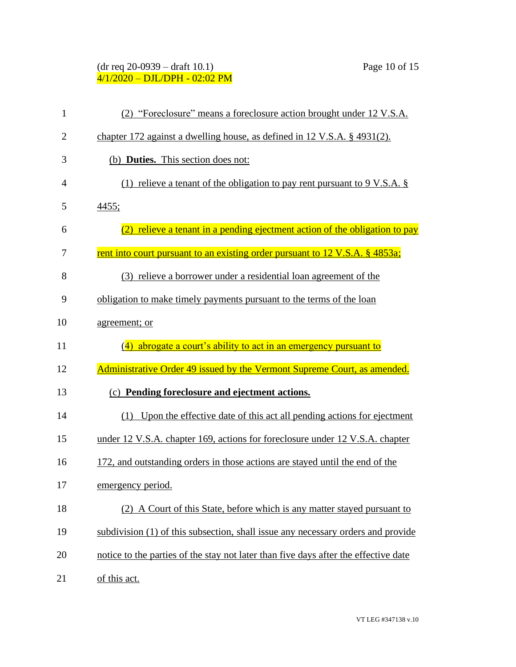## (dr req 20-0939 – draft 10.1) Page 10 of 15 4/1/2020 – DJL/DPH - 02:02 PM

| $\mathbf{1}$   | (2) "Foreclosure" means a foreclosure action brought under 12 V.S.A.                |
|----------------|-------------------------------------------------------------------------------------|
| $\overline{2}$ | chapter 172 against a dwelling house, as defined in 12 V.S.A. § 4931(2).            |
| 3              | (b) Duties. This section does not:                                                  |
| $\overline{4}$ | (1) relieve a tenant of the obligation to pay rent pursuant to 9 V.S.A. $\S$        |
| 5              | 4455;                                                                               |
| 6              | (2) relieve a tenant in a pending ejectment action of the obligation to pay         |
| 7              | <u>rent into court pursuant to an existing order pursuant to 12 V.S.A. § 4853a;</u> |
| 8              | (3) relieve a borrower under a residential loan agreement of the                    |
| 9              | obligation to make timely payments pursuant to the terms of the loan                |
| 10             | agreement; or                                                                       |
| 11             | (4) abrogate a court's ability to act in an emergency pursuant to                   |
| 12             | Administrative Order 49 issued by the Vermont Supreme Court, as amended.            |
| 13             | (c) Pending foreclosure and ejectment actions.                                      |
| 14             | (1) Upon the effective date of this act all pending actions for ejectment           |
| 15             | under 12 V.S.A. chapter 169, actions for foreclosure under 12 V.S.A. chapter        |
| 16             | 172, and outstanding orders in those actions are stayed until the end of the        |
| 17             | emergency period.                                                                   |
| 18             | (2) A Court of this State, before which is any matter stayed pursuant to            |
| 19             | subdivision (1) of this subsection, shall issue any necessary orders and provide    |
| 20             | notice to the parties of the stay not later than five days after the effective date |
| 21             | of this act.                                                                        |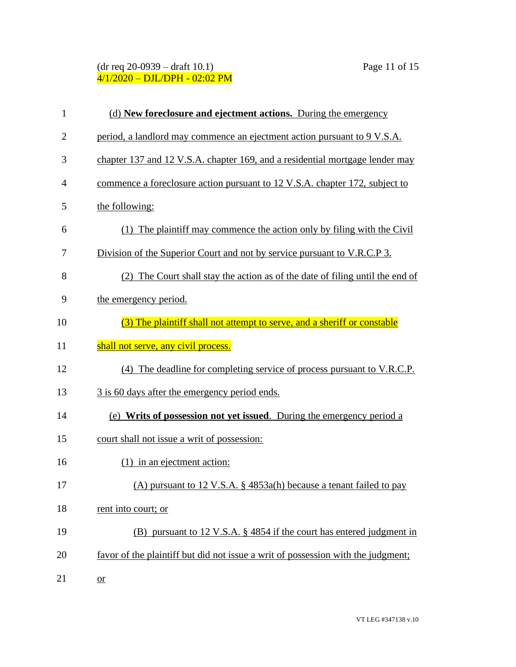## (dr req 20-0939 – draft 10.1) Page 11 of 15 4/1/2020 – DJL/DPH - 02:02 PM

| $\mathbf{1}$   | (d) New foreclosure and ejectment actions. During the emergency                  |
|----------------|----------------------------------------------------------------------------------|
| $\overline{2}$ | period, a landlord may commence an ejectment action pursuant to 9 V.S.A.         |
| 3              | chapter 137 and 12 V.S.A. chapter 169, and a residential mortgage lender may     |
| $\overline{4}$ | commence a foreclosure action pursuant to 12 V.S.A. chapter 172, subject to      |
| 5              | the following:                                                                   |
| 6              | (1) The plaintiff may commence the action only by filing with the Civil          |
| 7              | Division of the Superior Court and not by service pursuant to V.R.C.P 3.         |
| 8              | (2) The Court shall stay the action as of the date of filing until the end of    |
| 9              | the emergency period.                                                            |
| 10             | (3) The plaintiff shall not attempt to serve, and a sheriff or constable         |
| 11             | shall not serve, any civil process.                                              |
| 12             | (4) The deadline for completing service of process pursuant to V.R.C.P.          |
| 13             | 3 is 60 days after the emergency period ends.                                    |
| 14             | (e) Writs of possession not yet issued. During the emergency period a            |
| 15             | court shall not issue a writ of possession:                                      |
| 16             | $(1)$ in an ejectment action:                                                    |
| 17             | (A) pursuant to 12 V.S.A. $\S$ 4853a(h) because a tenant failed to pay           |
| 18             | rent into court; or                                                              |
| 19             | (B) pursuant to 12 V.S.A. § 4854 if the court has entered judgment in            |
| 20             | favor of the plaintiff but did not issue a writ of possession with the judgment; |
| 21             | <b>or</b>                                                                        |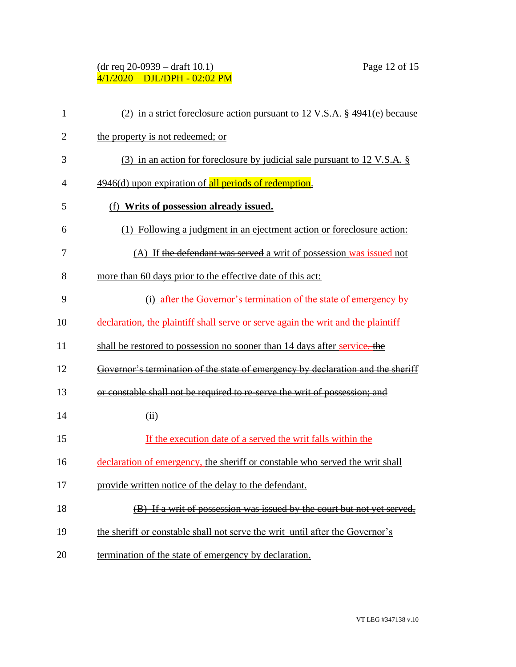## (dr req 20-0939 – draft 10.1) Page 12 of 15 4/1/2020 – DJL/DPH - 02:02 PM

| $\mathbf{1}$   | (2) in a strict foreclosure action pursuant to 12 V.S.A. $\S$ 4941(e) because    |
|----------------|----------------------------------------------------------------------------------|
| $\overline{c}$ | the property is not redeemed; or                                                 |
| 3              | $(3)$ in an action for foreclosure by judicial sale pursuant to 12 V.S.A. §      |
| 4              | 4946(d) upon expiration of all periods of redemption.                            |
| 5              | (f) Writs of possession already issued.                                          |
| 6              | (1) Following a judgment in an ejectment action or foreclosure action:           |
| 7              | (A) If the defendant was served a writ of possession was issued not              |
| 8              | more than 60 days prior to the effective date of this act:                       |
| 9              | (i) after the Governor's termination of the state of emergency by                |
| 10             | declaration, the plaintiff shall serve or serve again the writ and the plaintiff |
| 11             | shall be restored to possession no sooner than 14 days after service. the        |
| 12             | Governor's termination of the state of emergency by declaration and the sheriff  |
| 13             | or constable shall not be required to re-serve the writ of possession; and       |
| 14             | (ii)                                                                             |
| 15             | If the execution date of a served the writ falls within the                      |
| 16             | declaration of emergency, the sheriff or constable who served the writ shall     |
| 17             | provide written notice of the delay to the defendant.                            |
| 18             | (B) If a writ of possession was issued by the court but not yet served,          |
| 19             | the sheriff or constable shall not serve the writ until after the Governor's     |
| 20             | termination of the state of emergency by declaration.                            |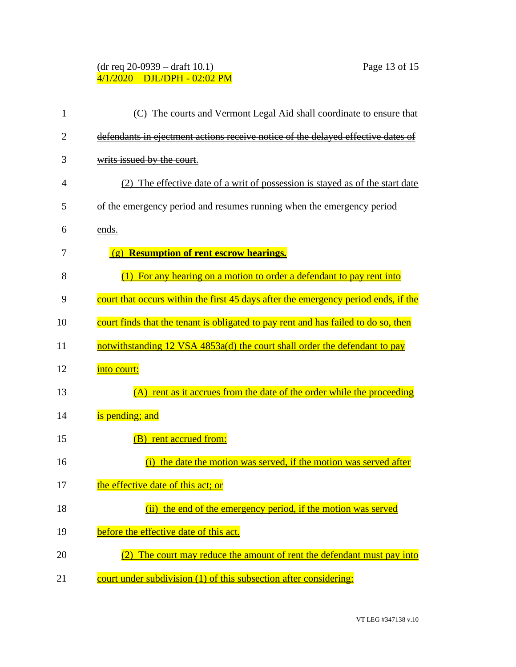### (dr req 20-0939 – draft 10.1) Page 13 of 15 4/1/2020 – DJL/DPH - 02:02 PM

| 1              | (C) The courts and Vermont Legal Aid shall coordinate to ensure that               |
|----------------|------------------------------------------------------------------------------------|
| $\overline{2}$ | defendants in ejectment actions receive notice of the delayed effective dates of   |
| 3              | writs issued by the court.                                                         |
| 4              | (2) The effective date of a writ of possession is stayed as of the start date      |
| 5              | of the emergency period and resumes running when the emergency period              |
| 6              | ends.                                                                              |
| 7              | (g) Resumption of rent escrow hearings.                                            |
| 8              | (1) For any hearing on a motion to order a defendant to pay rent into              |
| 9              | court that occurs within the first 45 days after the emergency period ends, if the |
| 10             | court finds that the tenant is obligated to pay rent and has failed to do so, then |
| 11             | notwithstanding 12 VSA 4853a(d) the court shall order the defendant to pay         |
| 12             | into court:                                                                        |
| 13             | (A) rent as it accrues from the date of the order while the proceeding             |
| 14             | is pending; and                                                                    |
| 15             | (B) rent accrued from:                                                             |
| 16             | the date the motion was served, if the motion was served after<br>(i)              |
| 17             | the effective date of this act; or                                                 |
| 18             | (ii) the end of the emergency period, if the motion was served                     |
| 19             | before the effective date of this act.                                             |
| 20             | The court may reduce the amount of rent the defendant must pay into                |
| 21             | court under subdivision (1) of this subsection after considering:                  |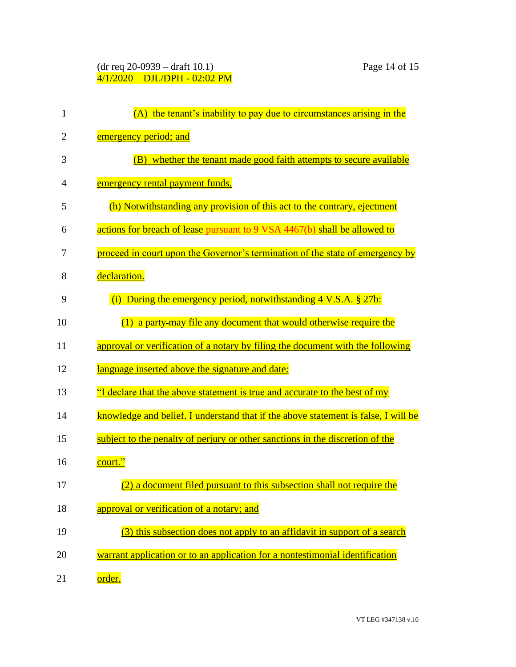## (dr req 20-0939 – draft 10.1) Page 14 of 15 4/1/2020 – DJL/DPH - 02:02 PM

| $\mathbf{1}$ | (A) the tenant's inability to pay due to circumstances arising in the              |
|--------------|------------------------------------------------------------------------------------|
| 2            | emergency period; and                                                              |
| 3            | (B) whether the tenant made good faith attempts to secure available                |
| 4            | emergency rental payment funds.                                                    |
| 5            | (h) Notwithstanding any provision of this act to the contrary, ejectment           |
| 6            | actions for breach of lease pursuant to 9 VSA 4467(b) shall be allowed to          |
| 7            | proceed in court upon the Governor's termination of the state of emergency by      |
| 8            | declaration.                                                                       |
| 9            | During the emergency period, notwithstanding 4 V.S.A. § 27b:<br>(i)                |
| 10           | a party-may file any document that would otherwise require the<br>(1)              |
| 11           | approval or verification of a notary by filing the document with the following     |
| 12           | language inserted above the signature and date:                                    |
| 13           | "I declare that the above statement is true and accurate to the best of my         |
| 14           | knowledge and belief. I understand that if the above statement is false, I will be |
| 15           | subject to the penalty of perjury or other sanctions in the discretion of the      |
| 16           | <mark>court."</mark>                                                               |
| 17           | (2) a document filed pursuant to this subsection shall not require the             |
| 18           | approval or verification of a notary; and                                          |
| 19           | (3) this subsection does not apply to an affidavit in support of a search          |
| 20           | warrant application or to an application for a nontestimonial identification       |
| 21           | order.                                                                             |